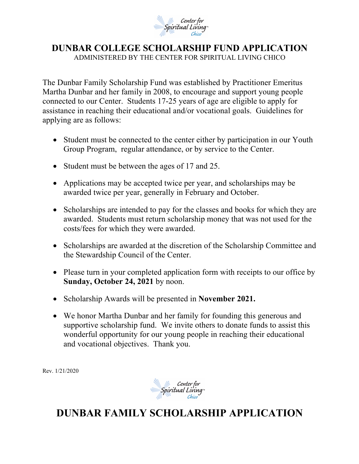

## **DUNBAR COLLEGE SCHOLARSHIP FUND APPLICATION** ADMINISTERED BY THE CENTER FOR SPIRITUAL LIVING CHICO

The Dunbar Family Scholarship Fund was established by Practitioner Emeritus Martha Dunbar and her family in 2008, to encourage and support young people connected to our Center. Students 17-25 years of age are eligible to apply for assistance in reaching their educational and/or vocational goals. Guidelines for applying are as follows:

- Student must be connected to the center either by participation in our Youth Group Program, regular attendance, or by service to the Center.
- Student must be between the ages of 17 and 25.
- Applications may be accepted twice per year, and scholarships may be awarded twice per year, generally in February and October.
- Scholarships are intended to pay for the classes and books for which they are awarded. Students must return scholarship money that was not used for the costs/fees for which they were awarded.
- Scholarships are awarded at the discretion of the Scholarship Committee and the Stewardship Council of the Center.
- Please turn in your completed application form with receipts to our office by **Sunday, October 24, 2021** by noon.
- Scholarship Awards will be presented in **November 2021.**
- We honor Martha Dunbar and her family for founding this generous and supportive scholarship fund. We invite others to donate funds to assist this wonderful opportunity for our young people in reaching their educational and vocational objectives. Thank you.

Rev. 1/21/2020



## **DUNBAR FAMILY SCHOLARSHIP APPLICATION**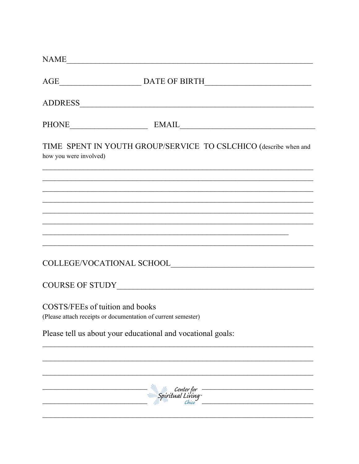|                                 | NAME                                                                                                                                                                                 |
|---------------------------------|--------------------------------------------------------------------------------------------------------------------------------------------------------------------------------------|
|                                 | AGE___________________________________DATE OF BIRTH______________________________                                                                                                    |
|                                 |                                                                                                                                                                                      |
|                                 | PHONE EMAIL EMAIL                                                                                                                                                                    |
| how you were involved)          | TIME SPENT IN YOUTH GROUP/SERVICE TO CSLCHICO (describe when and                                                                                                                     |
|                                 |                                                                                                                                                                                      |
|                                 | <u> 1989 - Johann Stoff, amerikan bestein besteht aus dem Frankrike besteht aus dem Frankrike besteht aus dem Fra</u><br><u> 1989 - Johann Stoff, amerikansk politiker (d. 1989)</u> |
|                                 |                                                                                                                                                                                      |
|                                 |                                                                                                                                                                                      |
|                                 |                                                                                                                                                                                      |
| COSTS/FEEs of tuition and books | (Please attach receipts or documentation of current semester)                                                                                                                        |
|                                 | Please tell us about your educational and vocational goals:                                                                                                                          |
|                                 |                                                                                                                                                                                      |
|                                 | - Center for<br>- Spiritual Living                                                                                                                                                   |
|                                 |                                                                                                                                                                                      |